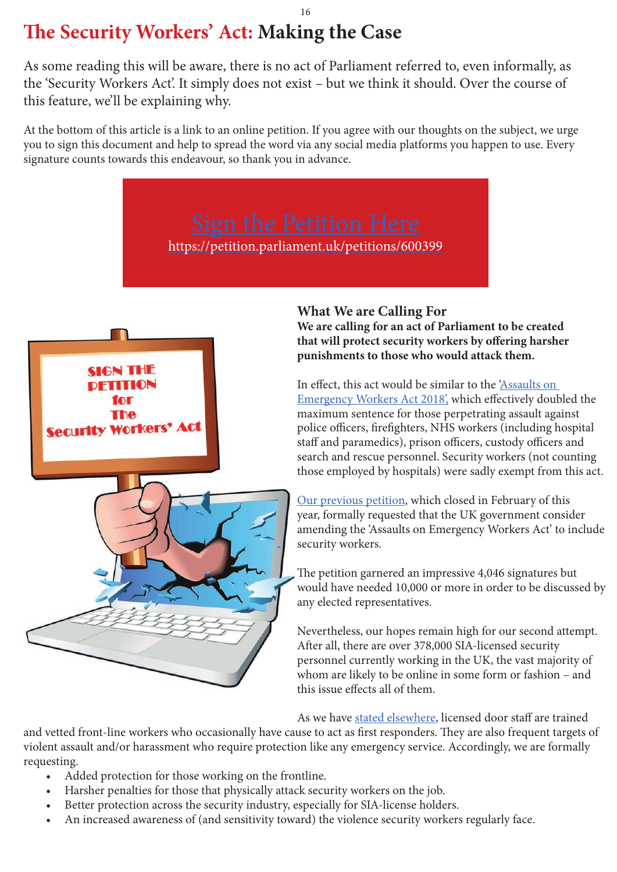# **The Security Workers' Act: Making the Case**

As some reading this will be aware, there is no act of Parliament referred to, even informally, as the 'Security Workers Act'. It simply does not exist – but we think it should. Over the course of this feature, we'll be explaining why.

At the bottom of this article is a link to an online petition. If you agree with our thoughts on the subject, we urge you to sign this document and help to spread the word via any social media platforms you happen to use. Every signature counts towards this endeavour, so thank you in advance.

https://petition.parliament.uk/petitions/600399



# **What We are Calling For**

**We are calling for an act of Parliament to be created that will protect security workers by offering harsher punishments to those who would attack them.**

In effect, this act would be similar to the 'Assaults on Emergency Workers Act 2018', which effectively doubled the maximum sentence for those perpetrating assault against police officers, firefighters, NHS workers (including hospital staff and paramedics), prison officers, custody officers and search and rescue personnel. Security workers (not counting those employed by hospitals) were sadly exempt from this act.

Our previous petition, which closed in February of this year, formally requested that the UK government consider amending the 'Assaults on Emergency Workers Act' to include security workers.

The petition garnered an impressive 4,046 signatures but would have needed 10,000 or more in order to be discussed by any elected representatives.

Nevertheless, our hopes remain high for our second attempt. After all, there are over 378,000 SIA-licensed security personnel currently working in the UK, the vast majority of whom are likely to be online in some form or fashion – and this issue effects all of them.

As we have stated elsewhere, licensed door staff are trained

and vetted front-line workers who occasionally have cause to act as first responders. They are also frequent targets of violent assault and/or harassment who require protection like any emergency service. Accordingly, we are formally requesting.

- Added protection for those working on the frontline.
- Harsher penalties for those that physically attack security workers on the job.
- Better protection across the security industry, especially for SIA-license holders.
- An increased awareness of (and sensitivity toward) the violence security workers regularly face.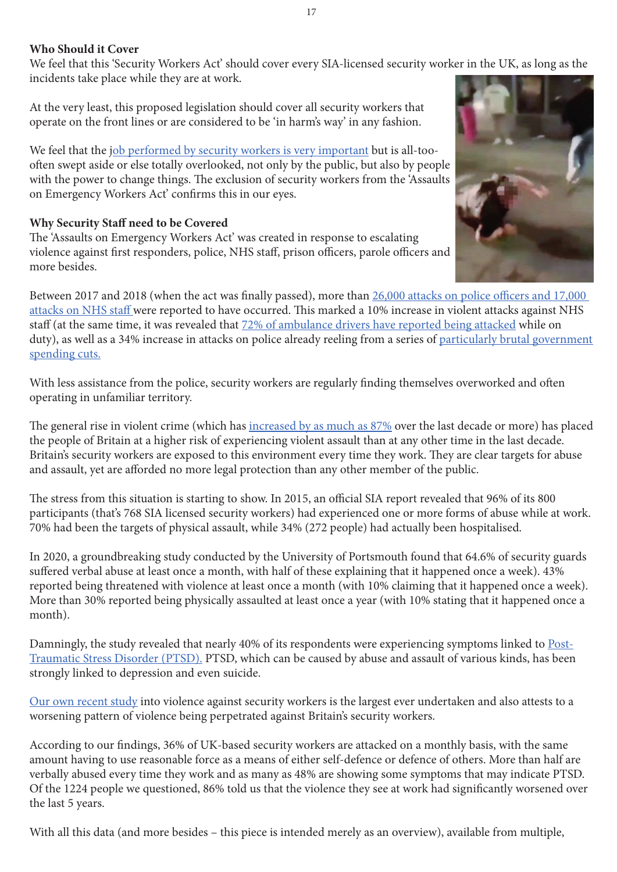#### **Who Should it Cover**

We feel that this 'Security Workers Act' should cover every SIA-licensed security worker in the UK, as long as the incidents take place while they are at work.

At the very least, this proposed legislation should cover all security workers that operate on the front lines or are considered to be 'in harm's way' in any fashion.

We feel that the job performed by security workers is very important but is all-toooften swept aside or else totally overlooked, not only by the public, but also by people with the power to change things. The exclusion of security workers from the 'Assaults on Emergency Workers Act' confirms this in our eyes.

#### **Why Security Staff need to be Covered**

The 'Assaults on Emergency Workers Act' was created in response to escalating violence against first responders, police, NHS staff, prison officers, parole officers and more besides.

Between 2017 and 2018 (when the act was finally passed), more than 26,000 attacks on police officers and 17,000 attacks on NHS staff were reported to have occurred. This marked a 10% increase in violent attacks against NHS staff (at the same time, it was revealed that 72% of ambulance drivers have reported being attacked while on duty), as well as a 34% increase in attacks on police already reeling from a series of particularly brutal government spending cuts.

With less assistance from the police, security workers are regularly finding themselves overworked and often operating in unfamiliar territory.

The general rise in violent crime (which has increased by as much as 87% over the last decade or more) has placed the people of Britain at a higher risk of experiencing violent assault than at any other time in the last decade. Britain's security workers are exposed to this environment every time they work. They are clear targets for abuse and assault, yet are afforded no more legal protection than any other member of the public.

The stress from this situation is starting to show. In 2015, an official SIA report revealed that 96% of its 800 participants (that's 768 SIA licensed security workers) had experienced one or more forms of abuse while at work. 70% had been the targets of physical assault, while 34% (272 people) had actually been hospitalised.

In 2020, a groundbreaking study conducted by the University of Portsmouth found that 64.6% of security guards suffered verbal abuse at least once a month, with half of these explaining that it happened once a week). 43% reported being threatened with violence at least once a month (with 10% claiming that it happened once a week). More than 30% reported being physically assaulted at least once a year (with 10% stating that it happened once a month).

Damningly, the study revealed that nearly 40% of its respondents were experiencing symptoms linked to Post-Traumatic Stress Disorder (PTSD). PTSD, which can be caused by abuse and assault of various kinds, has been strongly linked to depression and even suicide.

Our own recent study into violence against security workers is the largest ever undertaken and also attests to a worsening pattern of violence being perpetrated against Britain's security workers.

According to our findings, 36% of UK-based security workers are attacked on a monthly basis, with the same amount having to use reasonable force as a means of either self-defence or defence of others. More than half are verbally abused every time they work and as many as 48% are showing some symptoms that may indicate PTSD. Of the 1224 people we questioned, 86% told us that the violence they see at work had significantly worsened over the last 5 years.

With all this data (and more besides – this piece is intended merely as an overview), available from multiple,

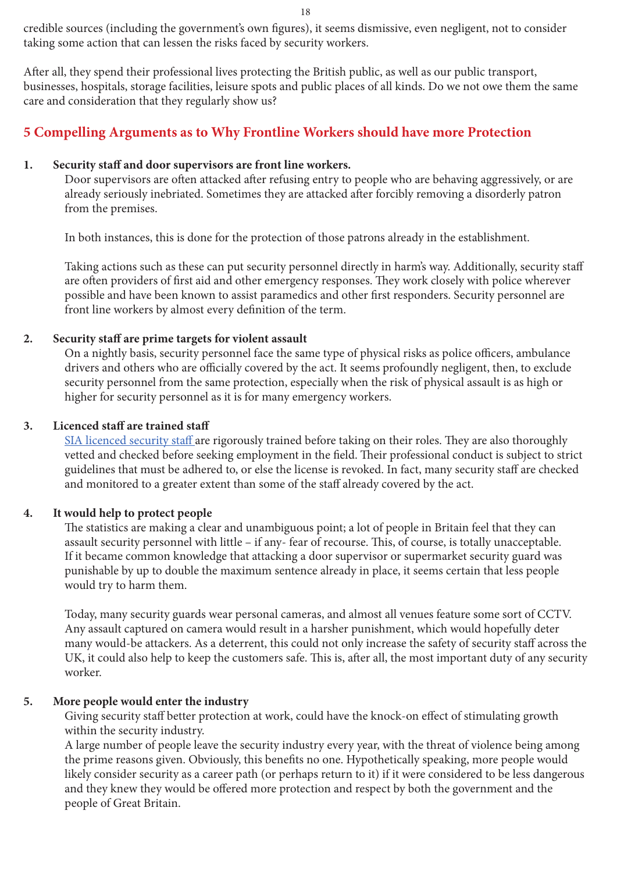credible sources (including the government's own figures), it seems dismissive, even negligent, not to consider taking some action that can lessen the risks faced by security workers.

After all, they spend their professional lives protecting the British public, as well as our public transport, businesses, hospitals, storage facilities, leisure spots and public places of all kinds. Do we not owe them the same care and consideration that they regularly show us?

# **5 Compelling Arguments as to Why Frontline Workers should have more Protection**

#### **1. Security staff and door supervisors are front line workers.**

Door supervisors are often attacked after refusing entry to people who are behaving aggressively, or are already seriously inebriated. Sometimes they are attacked after forcibly removing a disorderly patron from the premises.

In both instances, this is done for the protection of those patrons already in the establishment.

Taking actions such as these can put security personnel directly in harm's way. Additionally, security staff are often providers of first aid and other emergency responses. They work closely with police wherever possible and have been known to assist paramedics and other first responders. Security personnel are front line workers by almost every definition of the term.

#### **2. Security staff are prime targets for violent assault**

On a nightly basis, security personnel face the same type of physical risks as police officers, ambulance drivers and others who are officially covered by the act. It seems profoundly negligent, then, to exclude security personnel from the same protection, especially when the risk of physical assault is as high or higher for security personnel as it is for many emergency workers.

#### **3. Licenced staff are trained staff**

SIA licenced security staff are rigorously trained before taking on their roles. They are also thoroughly vetted and checked before seeking employment in the field. Their professional conduct is subject to strict guidelines that must be adhered to, or else the license is revoked. In fact, many security staff are checked and monitored to a greater extent than some of the staff already covered by the act.

#### **4. It would help to protect people**

The statistics are making a clear and unambiguous point; a lot of people in Britain feel that they can assault security personnel with little – if any- fear of recourse. This, of course, is totally unacceptable. If it became common knowledge that attacking a door supervisor or supermarket security guard was punishable by up to double the maximum sentence already in place, it seems certain that less people would try to harm them.

Today, many security guards wear personal cameras, and almost all venues feature some sort of CCTV. Any assault captured on camera would result in a harsher punishment, which would hopefully deter many would-be attackers. As a deterrent, this could not only increase the safety of security staff across the UK, it could also help to keep the customers safe. This is, after all, the most important duty of any security worker.

#### **5. More people would enter the industry**

Giving security staff better protection at work, could have the knock-on effect of stimulating growth within the security industry.

A large number of people leave the security industry every year, with the threat of violence being among the prime reasons given. Obviously, this benefits no one. Hypothetically speaking, more people would likely consider security as a career path (or perhaps return to it) if it were considered to be less dangerous and they knew they would be offered more protection and respect by both the government and the people of Great Britain.